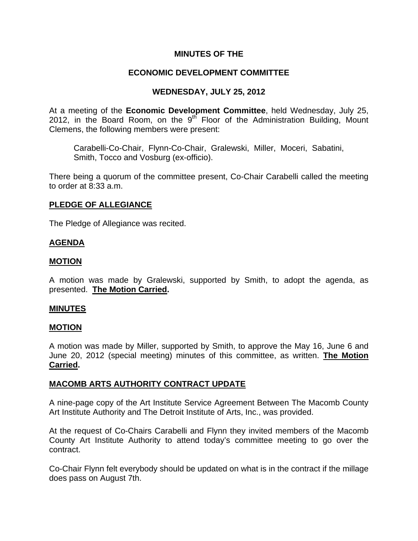# **MINUTES OF THE**

## **ECONOMIC DEVELOPMENT COMMITTEE**

## **WEDNESDAY, JULY 25, 2012**

At a meeting of the **Economic Development Committee**, held Wednesday, July 25, 2012, in the Board Room, on the  $9<sup>th</sup>$  Floor of the Administration Building, Mount Clemens, the following members were present:

Carabelli-Co-Chair, Flynn-Co-Chair, Gralewski, Miller, Moceri, Sabatini, Smith, Tocco and Vosburg (ex-officio).

There being a quorum of the committee present, Co-Chair Carabelli called the meeting to order at 8:33 a.m.

## **PLEDGE OF ALLEGIANCE**

The Pledge of Allegiance was recited.

## **AGENDA**

#### **MOTION**

A motion was made by Gralewski, supported by Smith, to adopt the agenda, as presented. **The Motion Carried.** 

#### **MINUTES**

#### **MOTION**

A motion was made by Miller, supported by Smith, to approve the May 16, June 6 and June 20, 2012 (special meeting) minutes of this committee, as written. **The Motion Carried.** 

#### **MACOMB ARTS AUTHORITY CONTRACT UPDATE**

A nine-page copy of the Art Institute Service Agreement Between The Macomb County Art Institute Authority and The Detroit Institute of Arts, Inc., was provided.

At the request of Co-Chairs Carabelli and Flynn they invited members of the Macomb County Art Institute Authority to attend today's committee meeting to go over the contract.

Co-Chair Flynn felt everybody should be updated on what is in the contract if the millage does pass on August 7th.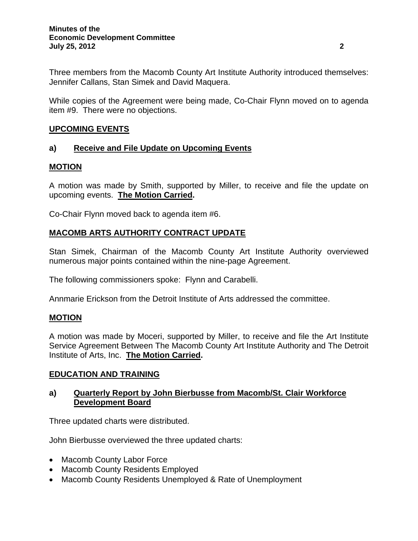Three members from the Macomb County Art Institute Authority introduced themselves: Jennifer Callans, Stan Simek and David Maquera.

While copies of the Agreement were being made, Co-Chair Flynn moved on to agenda item #9. There were no objections.

# **UPCOMING EVENTS**

# **a) Receive and File Update on Upcoming Events**

# **MOTION**

A motion was made by Smith, supported by Miller, to receive and file the update on upcoming events. **The Motion Carried.** 

Co-Chair Flynn moved back to agenda item #6.

# **MACOMB ARTS AUTHORITY CONTRACT UPDATE**

Stan Simek, Chairman of the Macomb County Art Institute Authority overviewed numerous major points contained within the nine-page Agreement.

The following commissioners spoke: Flynn and Carabelli.

Annmarie Erickson from the Detroit Institute of Arts addressed the committee.

# **MOTION**

A motion was made by Moceri, supported by Miller, to receive and file the Art Institute Service Agreement Between The Macomb County Art Institute Authority and The Detroit Institute of Arts, Inc. **The Motion Carried.** 

# **EDUCATION AND TRAINING**

# **a) Quarterly Report by John Bierbusse from Macomb/St. Clair Workforce Development Board**

Three updated charts were distributed.

John Bierbusse overviewed the three updated charts:

- Macomb County Labor Force
- Macomb County Residents Employed
- Macomb County Residents Unemployed & Rate of Unemployment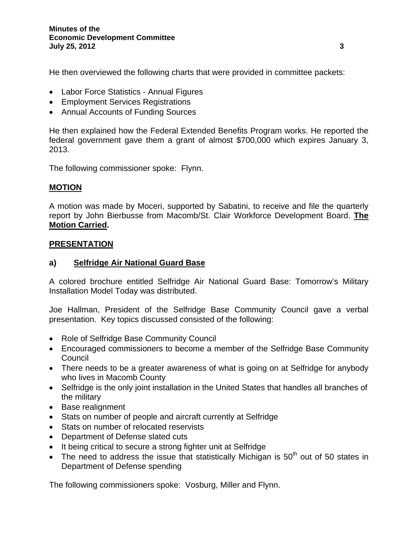He then overviewed the following charts that were provided in committee packets:

- Labor Force Statistics Annual Figures
- Employment Services Registrations
- Annual Accounts of Funding Sources

He then explained how the Federal Extended Benefits Program works. He reported the federal government gave them a grant of almost \$700,000 which expires January 3, 2013.

The following commissioner spoke: Flynn.

# **MOTION**

A motion was made by Moceri, supported by Sabatini, to receive and file the quarterly report by John Bierbusse from Macomb/St. Clair Workforce Development Board. **The Motion Carried.** 

# **PRESENTATION**

# **a) Selfridge Air National Guard Base**

A colored brochure entitled Selfridge Air National Guard Base: Tomorrow's Military Installation Model Today was distributed.

Joe Hallman, President of the Selfridge Base Community Council gave a verbal presentation. Key topics discussed consisted of the following:

- Role of Selfridge Base Community Council
- Encouraged commissioners to become a member of the Selfridge Base Community **Council**
- There needs to be a greater awareness of what is going on at Selfridge for anybody who lives in Macomb County
- Selfridge is the only joint installation in the United States that handles all branches of the military
- Base realignment
- Stats on number of people and aircraft currently at Selfridge
- Stats on number of relocated reservists
- Department of Defense slated cuts
- It being critical to secure a strong fighter unit at Selfridge
- The need to address the issue that statistically Michigan is  $50<sup>th</sup>$  out of 50 states in Department of Defense spending

The following commissioners spoke: Vosburg, Miller and Flynn.